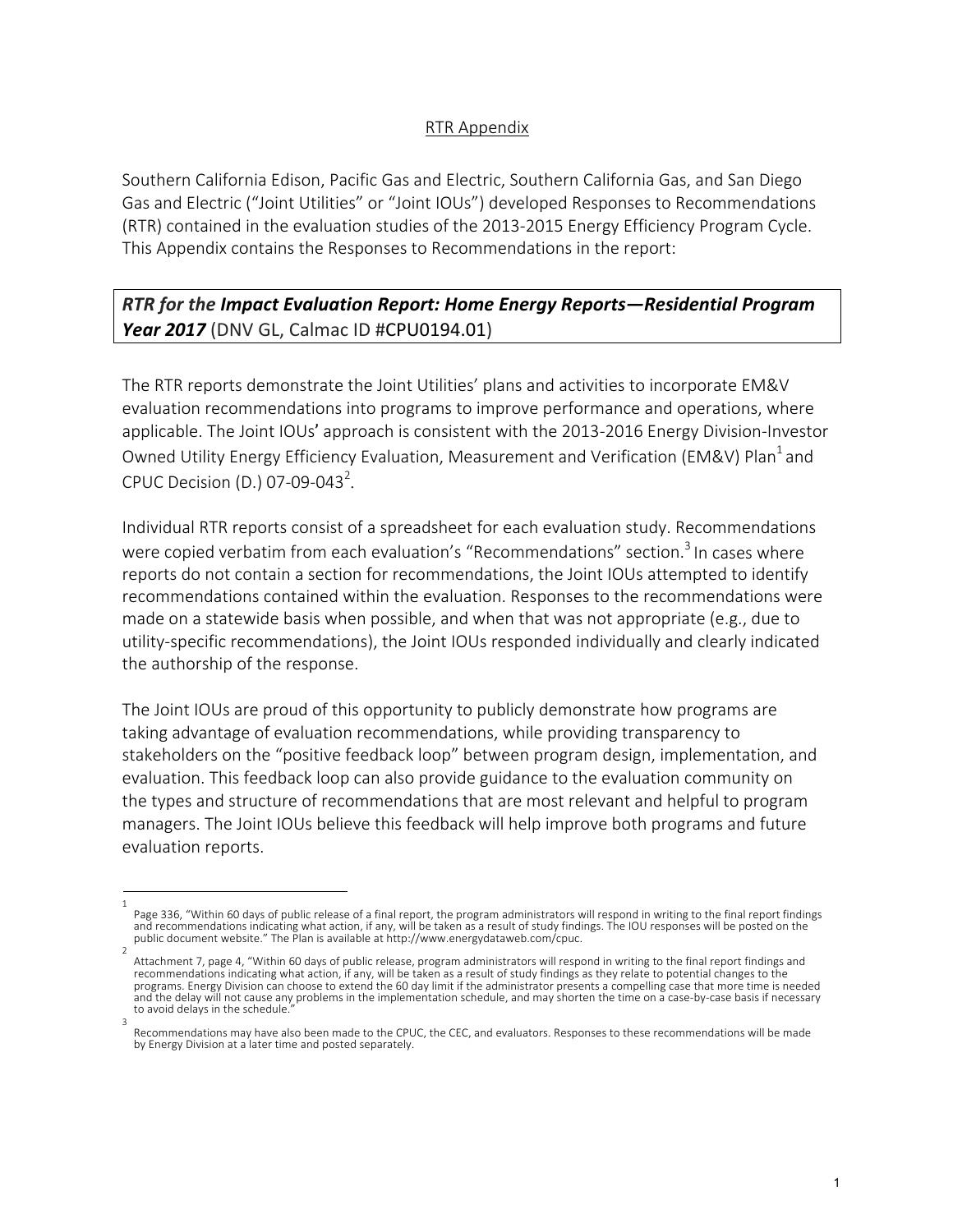## RTR Appendix

Southern California Edison, Pacific Gas and Electric, Southern California Gas, and San Diego Gas and Electric ("Joint Utilities" or "Joint IOUs") developed Responses to Recommendations (RTR) contained in the evaluation studies of the 2013-2015 Energy Efficiency Program Cycle. This Appendix contains the Responses to Recommendations in the report:

## *RTR for the Impact Evaluation Report: Home Energy Reports—Residential Program*  **Year 2017** (DNV GL, Calmac ID #CPU0194.01)

The RTR reports demonstrate the Joint Utilities' plans and activities to incorporate EM&V evaluation recommendations into programs to improve performance and operations, where applicable. The Joint IOUs' approach is consistent with the 2013-2016 Energy Division-Investor Owned Utility Energy Efficiency Evaluation, Measurement and Verification (EM&V) Plan<sup>1</sup> and CPUC Decision (D.) 07-09-043<sup>2</sup>.

Individual RTR reports consist of a spreadsheet for each evaluation study. Recommendations were copied verbatim from each evaluation's "Recommendations" section.<sup>3</sup> In cases where reports do not contain a section for recommendations, the Joint IOUs attempted to identify recommendations contained within the evaluation. Responses to the recommendations were made on a statewide basis when possible, and when that was not appropriate (e.g., due to utility-specific recommendations), the Joint IOUs responded individually and clearly indicated the authorship of the response.

The Joint IOUs are proud of this opportunity to publicly demonstrate how programs are taking advantage of evaluation recommendations, while providing transparency to stakeholders on the "positive feedback loop" between program design, implementation, and evaluation. This feedback loop can also provide guidance to the evaluation community on the types and structure of recommendations that are most relevant and helpful to program managers. The Joint IOUs believe this feedback will help improve both programs and future evaluation reports.

<sup>1</sup>  Page 336, "Within 60 days of public release of a final report, the program administrators will respond in writing to the final report findings and recommendations indicating what action, if any, will be taken as a result of study findings. The IOU responses will be posted on the public document website." The Plan is available at http://www.energydataweb.com/cpuc.

Attachment 7, page 4, "Within 60 days of public release, program administrators will respond in writing to the final report findings and recommendations indicating what action, if any, will be taken as a result of study findings as they relate to potential changes to the programs. Energy Division can choose to extend the 60 day limit if the administrator presents a compelling case that more time is needed and the delay will not cause any problems in the implementation schedule, and may shorten the time on a case-by-case basis if necessary to avoid delays in the schedule. 3

Recommendations may have also been made to the CPUC, the CEC, and evaluators. Responses to these recommendations will be made by Energy Division at a later time and posted separately.